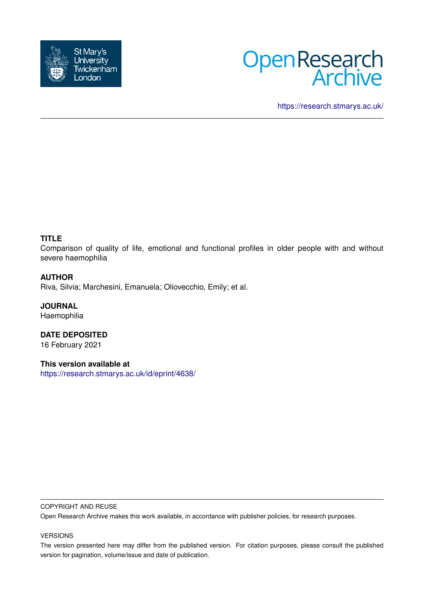



<https://research.stmarys.ac.uk/>

# **TITLE**

Comparison of quality of life, emotional and functional profiles in older people with and without severe haemophilia

## **AUTHOR**

Riva, Silvia; Marchesini, Emanuela; Oliovecchio, Emily; et al.

**JOURNAL** Haemophilia

**DATE DEPOSITED** 16 February 2021

**This version available at** <https://research.stmarys.ac.uk/id/eprint/4638/>

#### COPYRIGHT AND REUSE

Open Research Archive makes this work available, in accordance with publisher policies, for research purposes.

#### VERSIONS

The version presented here may differ from the published version. For citation purposes, please consult the published version for pagination, volume/issue and date of publication.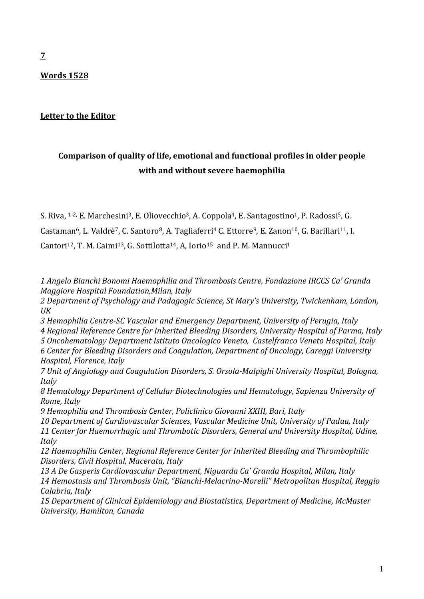# **Words 1528**

# **Letter to the Editor**

# **Comparison of quality of life, emotional and functional profiles in older people with and without severe haemophilia**

S. Riva, <sup>1-2,</sup> E. Marchesini<sup>3</sup>, E. Oliovecchio<sup>3</sup>, A. Coppola<sup>4</sup>, E. Santagostino<sup>1</sup>, P. Radossi<sup>5</sup>, G.

Castaman<sup>6</sup>, L. Valdrè<sup>7</sup>, C. Santoro<sup>8</sup>, A. Tagliaferri<sup>4</sup> C. Ettorre<sup>9</sup>, E. Zanon<sup>10</sup>, G. Barillari<sup>11</sup>, I.

Cantori<sup>12</sup>, T. M. Caimi<sup>13</sup>, G. Sottilotta<sup>14</sup>, A. Iorio<sup>15</sup> and P. M. Mannucci<sup>1</sup>

*1 Angelo Bianchi Bonomi Haemophilia and Thrombosis Centre, Fondazione IRCCS Ca' Granda Maggiore Hospital Foundation,Milan, Italy*

*2 Department of Psychology and Padagogic Science, St Mary's University, Twickenham, London, UK*

*3 Hemophilia Centre-SC Vascular and Emergency Department, University of Perugia, Italy 4 Regional Reference Centre for Inherited Bleeding Disorders, University Hospital of Parma, Italy*

*5 Oncohematology Department Istituto Oncologico Veneto, Castelfranco Veneto Hospital, Italy 6 Center for Bleeding Disorders and Coagulation, Department of Oncology, Careggi University Hospital, Florence, Italy*

*7 Unit of Angiology and Coagulation Disorders, S. Orsola-Malpighi University Hospital, Bologna, Italy* 

*8 Hematology Department of Cellular Biotechnologies and Hematology, Sapienza University of Rome, Italy*

*9 Hemophilia and Thrombosis Center, Policlinico Giovanni XXIII, Bari, Italy* 

*10 Department of Cardiovascular Sciences, Vascular Medicine Unit, University of Padua, Italy 11 Center for Haemorrhagic and Thrombotic Disorders, General and University Hospital, Udine, Italy* 

*12 Haemophilia Center, Regional Reference Center for Inherited Bleeding and Thrombophilic Disorders, Civil Hospital, Macerata, Italy*

*13 A De Gasperis Cardiovascular Department, Niguarda Ca' Granda Hospital, Milan, Italy 14 Hemostasis and Thrombosis Unit, "Bianchi-Melacrino-Morelli" Metropolitan Hospital, Reggio Calabria, Italy*

*15 Department of Clinical Epidemiology and Biostatistics, Department of Medicine, McMaster University, Hamilton, Canada*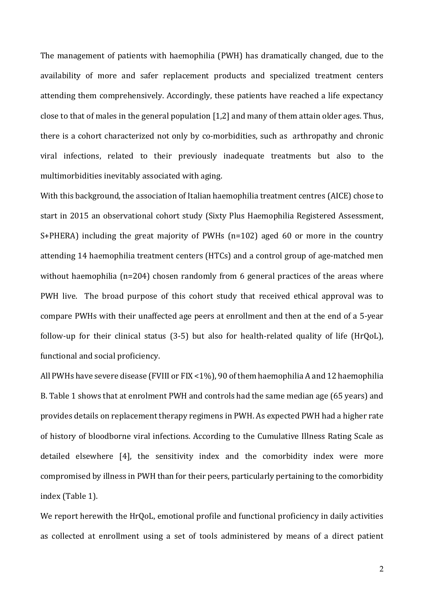The management of patients with haemophilia (PWH) has dramatically changed, due to the availability of more and safer replacement products and specialized treatment centers attending them comprehensively. Accordingly, these patients have reached a life expectancy close to that of males in the general population [1,2] and many of them attain older ages. Thus, there is a cohort characterized not only by co-morbidities, such as arthropathy and chronic viral infections, related to their previously inadequate treatments but also to the multimorbidities inevitably associated with aging.

With this background, the association of Italian haemophilia treatment centres (AICE) chose to start in 2015 an observational cohort study (Sixty Plus Haemophilia Registered Assessment, S+PHERA) including the great majority of PWHs (n=102) aged 60 or more in the country attending 14 haemophilia treatment centers (HTCs) and a control group of age-matched men without haemophilia (n=204) chosen randomly from 6 general practices of the areas where PWH live. The broad purpose of this cohort study that received ethical approval was to compare PWHs with their unaffected age peers at enrollment and then at the end of a 5-year follow-up for their clinical status (3-5) but also for health-related quality of life (HrQoL), functional and social proficiency.

All PWHs have severe disease (FVIII or FIX <1%), 90 of them haemophilia A and 12 haemophilia B. Table 1 shows that at enrolment PWH and controls had the same median age (65 years) and provides details on replacement therapy regimens in PWH. As expected PWH had a higher rate of history of bloodborne viral infections. According to the Cumulative Illness Rating Scale as detailed elsewhere [4], the sensitivity index and the comorbidity index were more compromised by illness in PWH than for their peers, particularly pertaining to the comorbidity index (Table 1).

We report herewith the HrQoL, emotional profile and functional proficiency in daily activities as collected at enrollment using a set of tools administered by means of a direct patient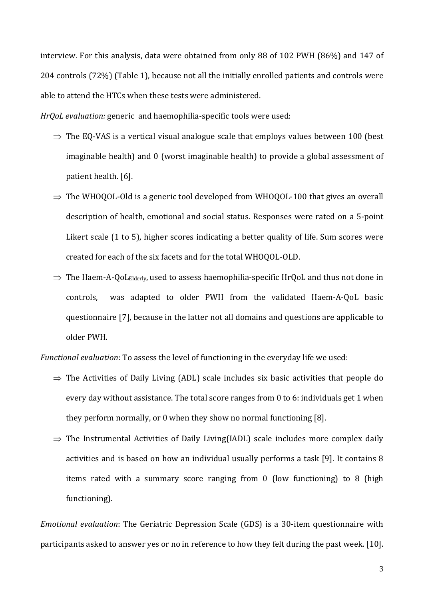interview. For this analysis, data were obtained from only 88 of 102 PWH (86%) and 147 of 204 controls (72%) (Table 1), because not all the initially enrolled patients and controls were able to attend the HTCs when these tests were administered.

*HrQoL evaluation:* generic and haemophilia-specific tools were used:

- $\Rightarrow$  The EQ-VAS is a vertical visual analogue scale that employs values between 100 (best imaginable health) and 0 (worst imaginable health) to provide a global assessment of patient health. [6].
- $\Rightarrow$  The WHOQOL-Old is a generic tool developed from WHOQOL-100 that gives an overall description of health, emotional and social status. Responses were rated on a 5-point Likert scale (1 to 5), higher scores indicating a better quality of life. Sum scores were created for each of the six facets and for the total WHOQOL-OLD.
- $\Rightarrow$  The Haem-A-QoL<sub>Elderly</sub>, used to assess haemophilia-specific HrQoL and thus not done in controls, was adapted to older PWH from the validated Haem-A-QoL basic questionnaire [7], because in the latter not all domains and questions are applicable to older PWH.

*Functional evaluation*: To assess the level of functioning in the everyday life we used:

- $\Rightarrow$  The Activities of Daily Living (ADL) scale includes six basic activities that people do every day without assistance. The total score ranges from 0 to 6: individuals get 1 when they perform normally, or 0 when they show no normal functioning [8].
- $\Rightarrow$  The Instrumental Activities of Daily Living(IADL) scale includes more complex daily activities and is based on how an individual usually performs a task [9]. It contains 8 items rated with a summary score ranging from 0 (low functioning) to 8 (high functioning).

*Emotional evaluation*: The Geriatric Depression Scale (GDS) is a 30-item questionnaire with participants asked to answer yes or no in reference to how they felt during the past week. [10].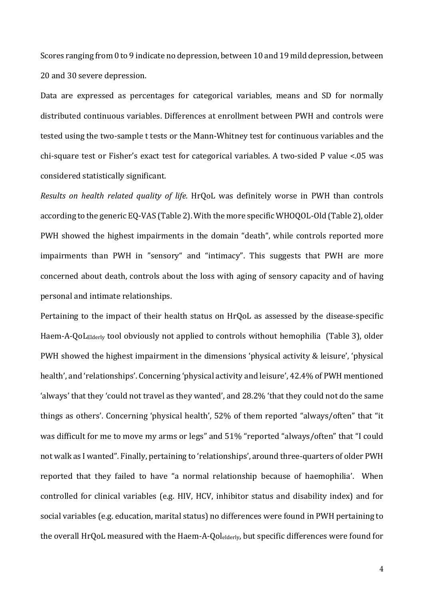Scores ranging from 0 to 9 indicate no depression, between 10 and 19 mild depression, between 20 and 30 severe depression.

Data are expressed as percentages for categorical variables, means and SD for normally distributed continuous variables. Differences at enrollment between PWH and controls were tested using the two-sample t tests or the Mann-Whitney test for continuous variables and the chi-square test or Fisher's exact test for categorical variables. A two-sided P value <.05 was considered statistically significant.

*Results on health related quality of life.* HrQoL was definitely worse in PWH than controls according to the generic EQ-VAS (Table 2). With the more specific WHOQOL-Old (Table 2), older PWH showed the highest impairments in the domain "death", while controls reported more impairments than PWH in "sensory" and "intimacy". This suggests that PWH are more concerned about death, controls about the loss with aging of sensory capacity and of having personal and intimate relationships.

Pertaining to the impact of their health status on HrQoL as assessed by the disease-specific Haem-A-QoLElderly tool obviously not applied to controls without hemophilia (Table 3), older PWH showed the highest impairment in the dimensions 'physical activity & leisure', 'physical health', and 'relationships'. Concerning 'physical activity and leisure', 42.4% of PWH mentioned 'always' that they 'could not travel as they wanted', and 28.2% 'that they could not do the same things as others'. Concerning 'physical health', 52% of them reported "always/often" that "it was difficult for me to move my arms or legs" and 51% "reported "always/often" that "I could not walk as I wanted". Finally, pertaining to 'relationships', around three-quarters of older PWH reported that they failed to have "a normal relationship because of haemophilia'. When controlled for clinical variables (e.g. HIV, HCV, inhibitor status and disability index) and for social variables (e.g. education, marital status) no differences were found in PWH pertaining to the overall HrQoL measured with the Haem-A-Qolelderly, but specific differences were found for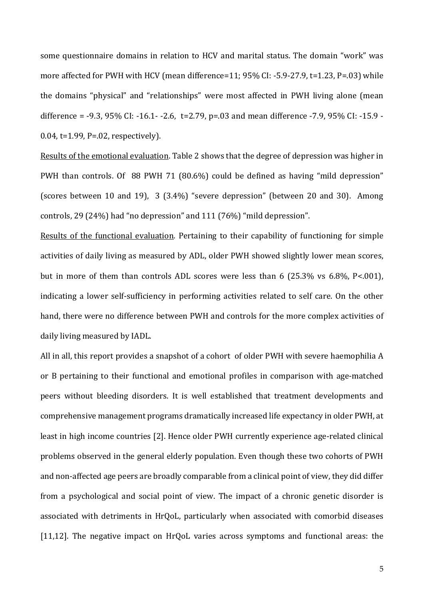some questionnaire domains in relation to HCV and marital status. The domain "work" was more affected for PWH with HCV (mean difference=11; 95% CI: -5.9-27.9, t=1.23, P=.03) while the domains "physical" and "relationships" were most affected in PWH living alone (mean difference = -9.3, 95% CI: -16.1- -2.6, t=2.79, p=.03 and mean difference -7.9, 95% CI: -15.9 - 0.04, t=1.99, P=.02, respectively).

Results of the emotional evaluation. Table 2 shows that the degree of depression was higher in PWH than controls. Of 88 PWH 71 (80.6%) could be defined as having "mild depression" (scores between 10 and 19), 3 (3.4%) "severe depression" (between 20 and 30). Among controls, 29 (24%) had "no depression" and 111 (76%) "mild depression".

Results of the functional evaluation*.* Pertaining to their capability of functioning for simple activities of daily living as measured by ADL, older PWH showed slightly lower mean scores, but in more of them than controls ADL scores were less than 6 (25.3% vs 6.8%, P<.001), indicating a lower self-sufficiency in performing activities related to self care. On the other hand, there were no difference between PWH and controls for the more complex activities of daily living measured by IADL.

All in all, this report provides a snapshot of a cohort of older PWH with severe haemophilia A or B pertaining to their functional and emotional profiles in comparison with age-matched peers without bleeding disorders. It is well established that treatment developments and comprehensive management programs dramatically increased life expectancy in older PWH, at least in high income countries [2]. Hence older PWH currently experience age-related clinical problems observed in the general elderly population. Even though these two cohorts of PWH and non-affected age peers are broadly comparable from a clinical point of view, they did differ from a psychological and social point of view. The impact of a chronic genetic disorder is associated with detriments in HrQoL, particularly when associated with comorbid diseases [11,12]. The negative impact on HrQoL varies across symptoms and functional areas: the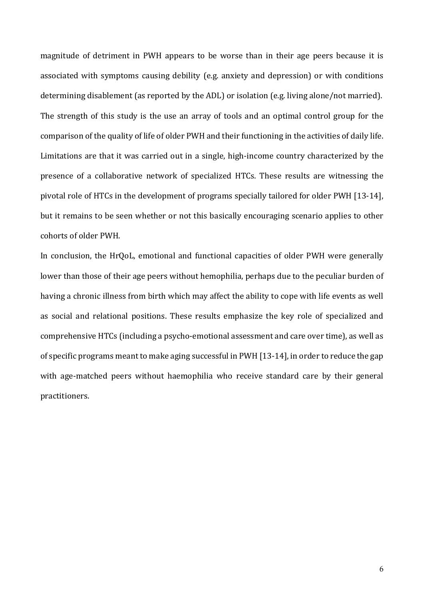magnitude of detriment in PWH appears to be worse than in their age peers because it is associated with symptoms causing debility (e.g. anxiety and depression) or with conditions determining disablement (as reported by the ADL) or isolation (e.g. living alone/not married). The strength of this study is the use an array of tools and an optimal control group for the comparison of the quality of life of older PWH and their functioning in the activities of daily life. Limitations are that it was carried out in a single, high-income country characterized by the presence of a collaborative network of specialized HTCs. These results are witnessing the pivotal role of HTCs in the development of programs specially tailored for older PWH [13-14], but it remains to be seen whether or not this basically encouraging scenario applies to other cohorts of older PWH.

In conclusion, the HrQoL, emotional and functional capacities of older PWH were generally lower than those of their age peers without hemophilia, perhaps due to the peculiar burden of having a chronic illness from birth which may affect the ability to cope with life events as well as social and relational positions. These results emphasize the key role of specialized and comprehensive HTCs (including a psycho-emotional assessment and care over time), as well as of specific programs meant to make aging successful in PWH [13-14], in order to reduce the gap with age-matched peers without haemophilia who receive standard care by their general practitioners.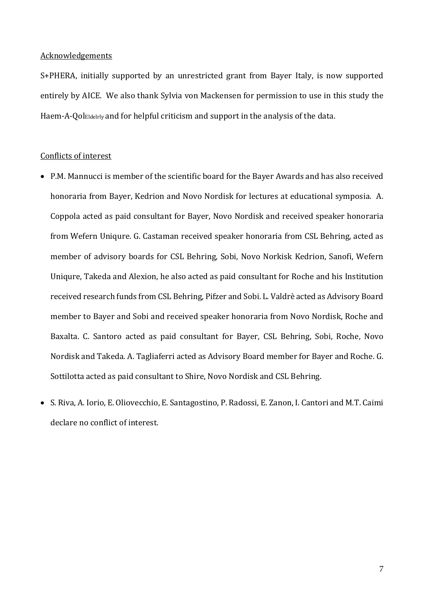### Acknowledgements

S+PHERA, initially supported by an unrestricted grant from Bayer Italy, is now supported entirely by AICE. We also thank Sylvia von Mackensen for permission to use in this study the Haem-A-QolEldelrly and for helpful criticism and support in the analysis of the data.

#### Conflicts of interest

- P.M. Mannucci is member of the scientific board for the Bayer Awards and has also received honoraria from Bayer, Kedrion and Novo Nordisk for lectures at educational symposia. A. Coppola acted as paid consultant for Bayer, Novo Nordisk and received speaker honoraria from Wefern Uniqure. G. Castaman received speaker honoraria from CSL Behring, acted as member of advisory boards for CSL Behring, Sobi, Novo Norkisk Kedrion, Sanofi, Wefern Uniqure, Takeda and Alexion, he also acted as paid consultant for Roche and his Institution received research funds from CSL Behring, Pifzer and Sobi. L. Valdrè acted as Advisory Board member to Bayer and Sobi and received speaker honoraria from Novo Nordisk, Roche and Baxalta. C. Santoro acted as paid consultant for Bayer, CSL Behring, Sobi, Roche, Novo Nordisk and Takeda. A. Tagliaferri acted as Advisory Board member for Bayer and Roche. G. Sottilotta acted as paid consultant to Shire, Novo Nordisk and CSL Behring.
- S. Riva, A. Iorio, E. Oliovecchio, E. Santagostino, P. Radossi, E. Zanon, I. Cantori and M.T. Caimi declare no conflict of interest.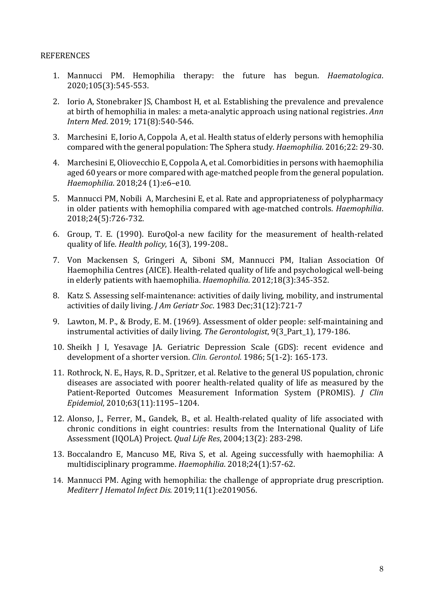## REFERENCES

- 1. Mannucci PM. Hemophilia therapy: the future has begun. *Haematologica*. 2020;105(3):545-553.
- 2. Iorio A, Stonebraker JS, Chambost H, et al. Establishing the prevalence and prevalence at birth of hemophilia in males: a meta-analytic approach using national registries. *Ann Intern Med*. 2019; 171(8):540-546.
- 3. Marchesini E, Iorio A, Coppola A, et al. Health status of elderly persons with hemophilia compared with the general population: The Sphera study. *Haemophilia*. 2016;22: 29-30.
- 4. Marchesini E, Oliovecchio E, Coppola A, et al. Comorbidities in persons with haemophilia aged 60 years or more compared with age-matched people from the general population. *Haemophilia*. 2018;24 (1):e6–e10.
- 5. Mannucci PM, Nobili A, Marchesini E, et al. Rate and appropriateness of polypharmacy in older patients with hemophilia compared with age-matched controls. *Haemophilia*. 2018;24(5):726-732.
- 6. Group, T. E. (1990). EuroQol-a new facility for the measurement of health-related quality of life. *Health policy*, 16(3), 199-208..
- 7. Von Mackensen S, Gringeri A, Siboni SM, Mannucci PM, Italian Association Of Haemophilia Centres (AICE). Health-related quality of life and psychological well-being in elderly patients with haemophilia. *Haemophilia*. 2012;18(3):345-352.
- 8. Katz S. Assessing self-maintenance: activities of daily living, mobility, and instrumental activities of daily living. *J Am Geriatr Soc*. 1983 Dec;31(12):721-7
- 9. Lawton, M. P., & Brody, E. M. (1969). Assessment of older people: self-maintaining and instrumental activities of daily living. *The Gerontologist*, 9(3\_Part\_1), 179-186.
- 10. Sheikh J I, Yesavage JA. Geriatric Depression Scale (GDS): recent evidence and development of a shorter version. *Clin. Gerontol*. 1986; 5(1-2): 165-173.
- 11. Rothrock, N. E., Hays, R. D., Spritzer, et al. Relative to the general US population, chronic diseases are associated with poorer health-related quality of life as measured by the Patient-Reported Outcomes Measurement Information System (PROMIS). *J Clin Epidemiol*, 2010;63(11):1195–1204.
- 12. Alonso, J., Ferrer, M., Gandek, B., et al. Health-related quality of life associated with chronic conditions in eight countries: results from the International Quality of Life Assessment (IQOLA) Project. *Qual Life Res*, 2004;13(2): 283-298.
- 13. Boccalandro E, Mancuso ME, Riva S, et al. Ageing successfully with haemophilia: A multidisciplinary programme. *Haemophilia*. 2018;24(1):57-62.
- 14. Mannucci PM. Aging with hemophilia: the challenge of appropriate drug prescription. *Mediterr J Hematol Infect Dis.* 2019;11(1):e2019056.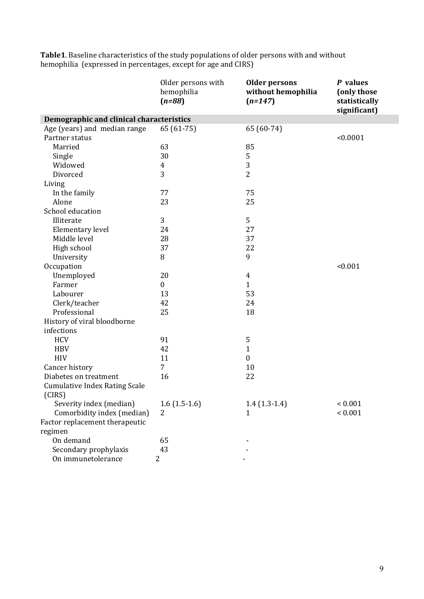|                                          | Older persons with<br>hemophilia<br>$(n=88)$ | <b>Older persons</b><br>without hemophilia<br>$(n=147)$ | P values<br>(only those<br>statistically<br>significant) |
|------------------------------------------|----------------------------------------------|---------------------------------------------------------|----------------------------------------------------------|
| Demographic and clinical characteristics |                                              |                                                         |                                                          |
| Age (years) and median range             | $65(61-75)$                                  | 65 (60-74)                                              |                                                          |
| Partner status                           |                                              |                                                         | < 0.0001                                                 |
| Married                                  | 63                                           | 85                                                      |                                                          |
| Single                                   | 30                                           | 5                                                       |                                                          |
| Widowed                                  | $\overline{4}$                               | 3                                                       |                                                          |
| Divorced                                 | 3                                            | $\overline{2}$                                          |                                                          |
| Living                                   |                                              |                                                         |                                                          |
| In the family                            | 77                                           | 75                                                      |                                                          |
| Alone                                    | 23                                           | 25                                                      |                                                          |
| School education                         |                                              |                                                         |                                                          |
| Illiterate                               | 3                                            | 5                                                       |                                                          |
| Elementary level                         | 24                                           | 27                                                      |                                                          |
| Middle level                             | 28                                           | 37                                                      |                                                          |
| High school                              | 37                                           | 22                                                      |                                                          |
| University                               | 8                                            | 9                                                       |                                                          |
| Occupation                               |                                              |                                                         | < 0.001                                                  |
| Unemployed                               | 20                                           | $\overline{4}$                                          |                                                          |
| Farmer                                   | $\boldsymbol{0}$                             | $\mathbf{1}$                                            |                                                          |
| Labourer                                 | 13                                           | 53                                                      |                                                          |
| Clerk/teacher                            | 42                                           | 24                                                      |                                                          |
| Professional                             | 25                                           | 18                                                      |                                                          |
| History of viral bloodborne              |                                              |                                                         |                                                          |
| infections                               |                                              |                                                         |                                                          |
| <b>HCV</b>                               | 91                                           | 5                                                       |                                                          |
| <b>HBV</b>                               | 42                                           | $\mathbf{1}$                                            |                                                          |
| <b>HIV</b>                               | 11                                           | $\boldsymbol{0}$                                        |                                                          |
| Cancer history                           | $\overline{7}$                               | 10                                                      |                                                          |
| Diabetes on treatment                    | 16                                           | 22                                                      |                                                          |
| <b>Cumulative Index Rating Scale</b>     |                                              |                                                         |                                                          |
| (CIRS)                                   |                                              |                                                         |                                                          |
| Severity index (median)                  | $1.6(1.5-1.6)$                               | $1.4(1.3-1.4)$                                          | ${}< 0.001$                                              |
| Comorbidity index (median)               | 2                                            | 1                                                       | ${}< 0.001$                                              |
| Factor replacement therapeutic           |                                              |                                                         |                                                          |
| regimen                                  |                                              |                                                         |                                                          |
| On demand                                | 65                                           |                                                         |                                                          |
| Secondary prophylaxis                    | 43                                           |                                                         |                                                          |
| On immunetolerance                       | 2                                            |                                                         |                                                          |

**Table1**. Baseline characteristics of the study populations of older persons with and without hemophilia (expressed in percentages, except for age and CIRS)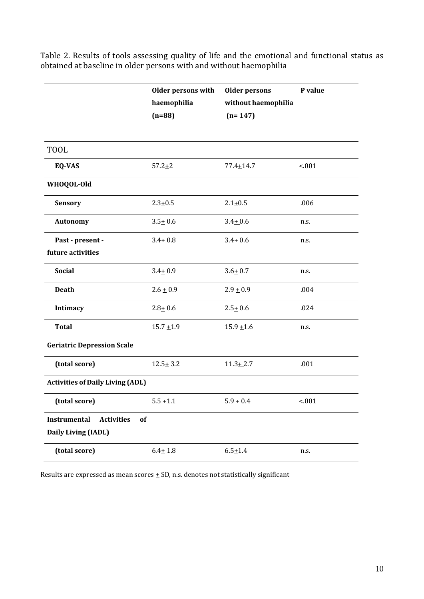|                                                                | <b>Older persons with</b><br>haemophilia<br>$(n=88)$ | <b>Older persons</b><br>without haemophilia<br>$(n=147)$ | P value |  |  |  |  |
|----------------------------------------------------------------|------------------------------------------------------|----------------------------------------------------------|---------|--|--|--|--|
| <b>TOOL</b>                                                    |                                                      |                                                          |         |  |  |  |  |
| EQ-VAS                                                         | $57.2 + 2$                                           | $77.4 + 14.7$                                            | 1001    |  |  |  |  |
| WHOQOL-Old                                                     |                                                      |                                                          |         |  |  |  |  |
| <b>Sensory</b>                                                 | $2.3 + 0.5$                                          | $2.1 + 0.5$                                              | .006    |  |  |  |  |
| <b>Autonomy</b>                                                | $3.5 + 0.6$                                          | $3.4 + 0.6$                                              | n.s.    |  |  |  |  |
| Past - present -<br>future activities                          | $3.4 + 0.8$                                          | $3.4 + 0.6$                                              | n.s.    |  |  |  |  |
| <b>Social</b>                                                  | $3.4 + 0.9$                                          | $3.6 + 0.7$                                              | n.s.    |  |  |  |  |
| <b>Death</b>                                                   | $2.6 + 0.9$                                          | $2.9 + 0.9$                                              | .004    |  |  |  |  |
| Intimacy                                                       | $2.8 + 0.6$                                          | $2.5 + 0.6$                                              | .024    |  |  |  |  |
| <b>Total</b>                                                   | $15.7 + 1.9$                                         | $15.9 + 1.6$                                             | n.s.    |  |  |  |  |
| <b>Geriatric Depression Scale</b>                              |                                                      |                                                          |         |  |  |  |  |
| (total score)                                                  | $12.5 + 3.2$                                         | $11.3 + 2.7$                                             | .001    |  |  |  |  |
| <b>Activities of Daily Living (ADL)</b>                        |                                                      |                                                          |         |  |  |  |  |
| (total score)                                                  | $5.5 + 1.1$                                          | $5.9 \pm 0.4$                                            | $-0.01$ |  |  |  |  |
| Instrumental<br><b>Activities</b><br>of<br>Daily Living (IADL) |                                                      |                                                          |         |  |  |  |  |
| (total score)                                                  | $6.4 + 1.8$                                          | $6.5 + 1.4$                                              | n.s.    |  |  |  |  |

Table 2. Results of tools assessing quality of life and the emotional and functional status as obtained at baseline in older persons with and without haemophilia

Results are expressed as mean scores  $\pm$  SD, n.s. denotes not statistically significant